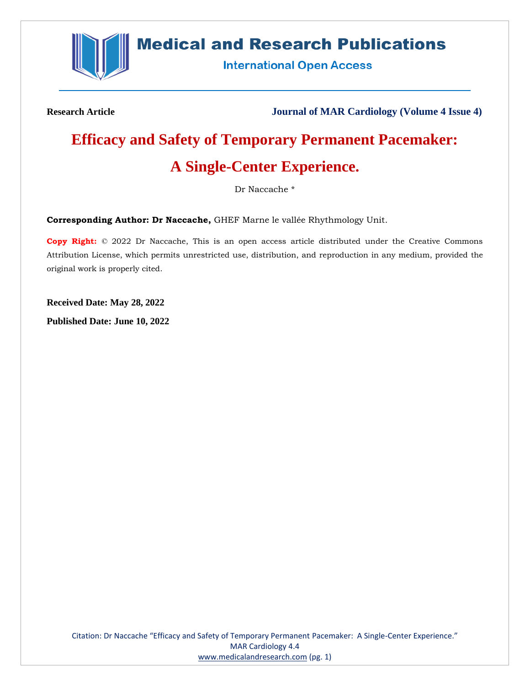

## **Medical and Research Publications**

**International Open Access** 

**Research Article Journal of MAR Cardiology (Volume 4 Issue 4)**

# **Efficacy and Safety of Temporary Permanent Pacemaker:**

## **A Single-Center Experience.**

Dr Naccache \*

**Corresponding Author: Dr Naccache,** GHEF Marne le vallée Rhythmology Unit.

**Copy Right:** © 2022 Dr Naccache, This is an open access article distributed under the Creative Commons Attribution License, which permits unrestricted use, distribution, and reproduction in any medium, provided the original work is properly cited.

**Received Date: May 28, 2022**

**Published Date: June 10, 2022**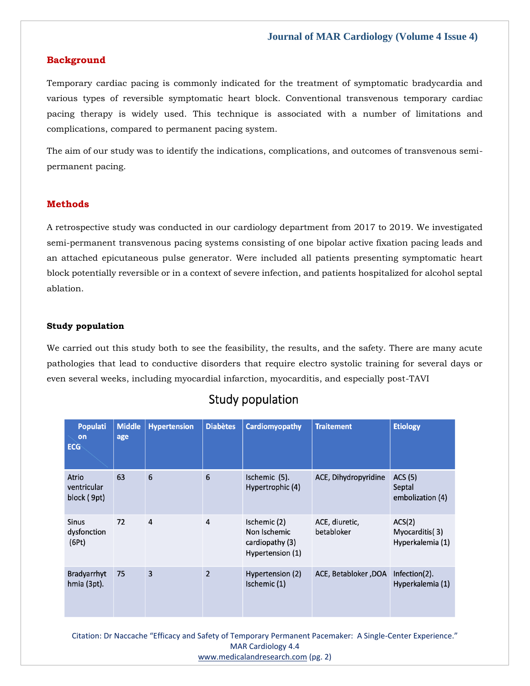#### **Background**

Temporary cardiac pacing is commonly indicated for the treatment of symptomatic bradycardia and various types of reversible symptomatic heart block. Conventional transvenous temporary cardiac pacing therapy is widely used. This technique is associated with a number of limitations and complications, compared to permanent pacing system.

The aim of our study was to identify the indications, complications, and outcomes of transvenous semipermanent pacing.

#### **Methods**

A retrospective study was conducted in our cardiology department from 2017 to 2019. We investigated semi-permanent transvenous pacing systems consisting of one bipolar active fixation pacing leads and an attached epicutaneous pulse generator. Were included all patients presenting symptomatic heart block potentially reversible or in a context of severe infection, and patients hospitalized for alcohol septal ablation.

#### **Study population**

We carried out this study both to see the feasibility, the results, and the safety. There are many acute pathologies that lead to conductive disorders that require electro systolic training for several days or even several weeks, including myocardial infarction, myocarditis, and especially post-TAVI

| <b>Populati</b><br>on<br><b>ECG</b>  | <b>Middle</b><br>age | <b>Hypertension</b> | <b>Diabètes</b> | <b>Cardiomyopathy</b>                                               | <b>Traitement</b>            | <b>Etiology</b>                              |
|--------------------------------------|----------------------|---------------------|-----------------|---------------------------------------------------------------------|------------------------------|----------------------------------------------|
| Atrio<br>ventricular<br>block (9pt)  | 63                   | 6                   | 6               | Ischemic (5).<br>Hypertrophic (4)                                   | ACE, Dihydropyridine         | ACS (5)<br>Septal<br>embolization (4)        |
| <b>Sinus</b><br>dysfonction<br>(6Pt) | 72                   | $\overline{4}$      | $\overline{4}$  | Ischemic (2)<br>Non Ischemic<br>cardiopathy (3)<br>Hypertension (1) | ACE, diuretic,<br>betabloker | ACS(2)<br>Myocarditis(3)<br>Hyperkalemia (1) |
| Bradyarrhyt<br>hmia (3pt).           | 75                   | 3                   | $\overline{2}$  | Hypertension (2)<br>Ischemic (1)                                    | ACE, Betabloker, DOA         | Infection(2).<br>Hyperkalemia (1)            |

### Study population

Citation: Dr Naccache "Efficacy and Safety of Temporary Permanent Pacemaker: A Single-Center Experience." MAR Cardiology 4.4 [www.medicalandresearch.com](http://www.medicalandresearch.com/) (pg. 2)